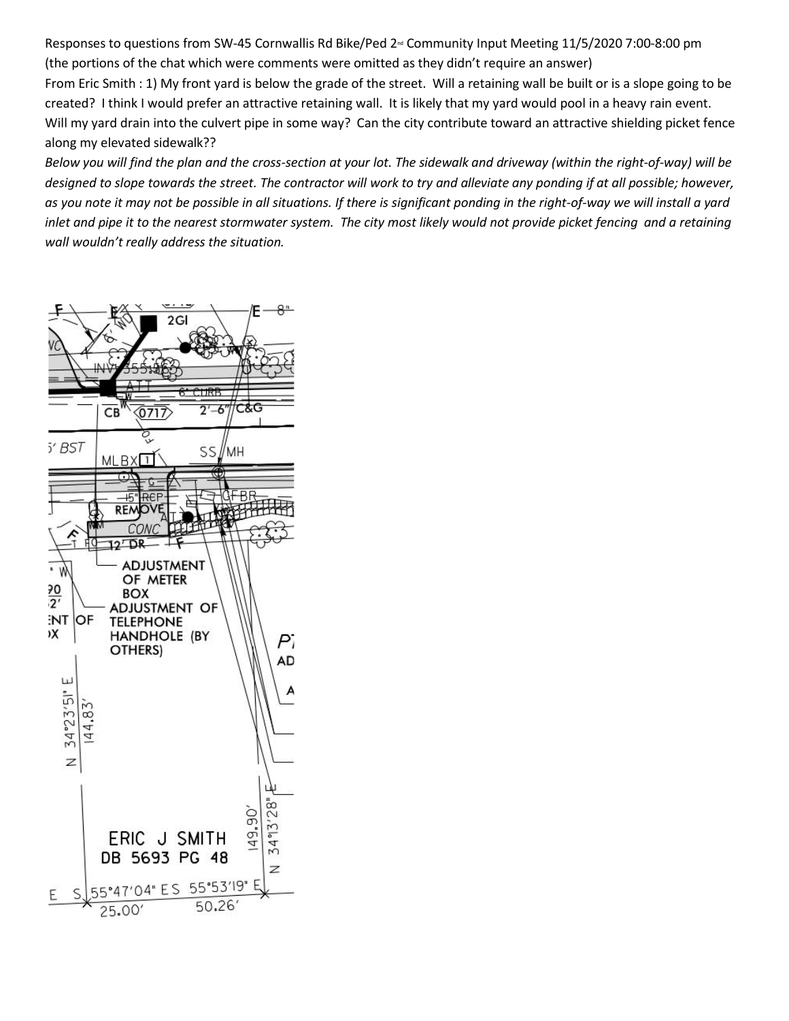Responses to questions from SW-45 Cornwallis Rd Bike/Ped 2<sup>nd</sup> Community Input Meeting 11/5/2020 7:00-8:00 pm (the portions of the chat which were comments were omitted as they didn't require an answer)

From Eric Smith : 1) My front yard is below the grade of the street. Will a retaining wall be built or is a slope going to be created? I think I would prefer an attractive retaining wall. It is likely that my yard would pool in a heavy rain event. Will my yard drain into the culvert pipe in some way? Can the city contribute toward an attractive shielding picket fence along my elevated sidewalk??

*Below you will find the plan and the cross-section at your lot. The sidewalk and driveway (within the right-of-way) will be designed to slope towards the street. The contractor will work to try and alleviate any ponding if at all possible; however, as you note it may not be possible in all situations. If there is significant ponding in the right-of-way we will install a yard inlet and pipe it to the nearest stormwater system. The city most likely would not provide picket fencing and a retaining wall wouldn't really address the situation.*

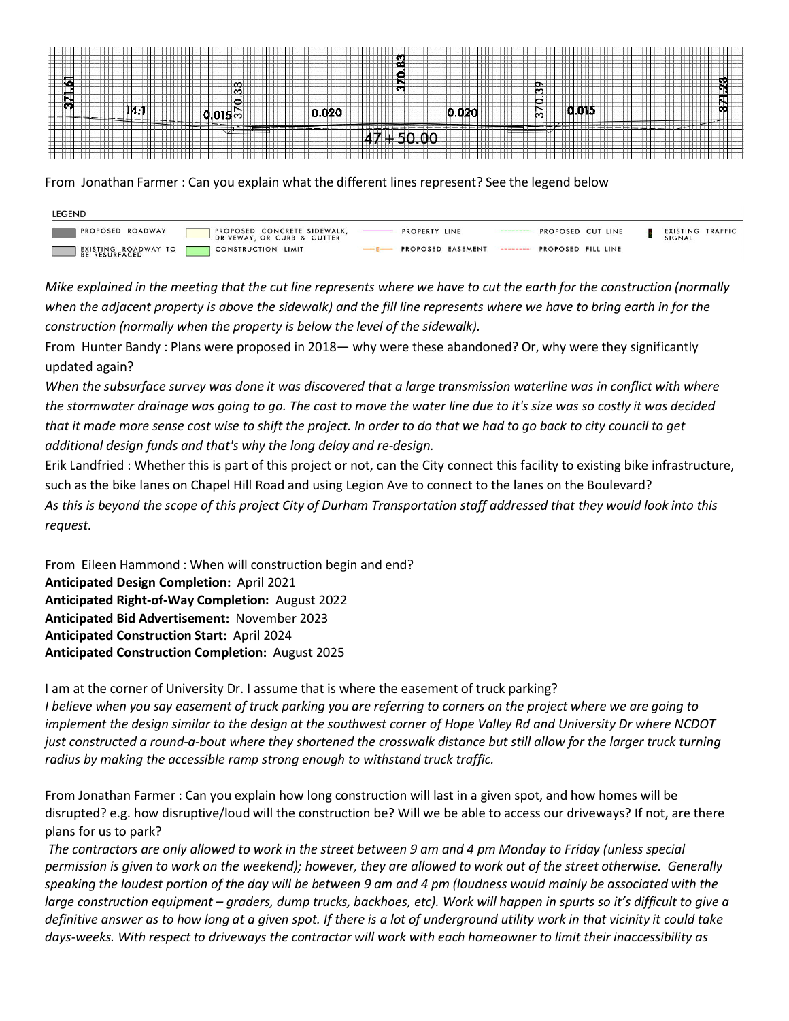

From Jonathan Farmer : Can you explain what the different lines represent? See the legend below

| <b>LEGEND</b>           |                                                           |                   |                      |                    |  |                            |  |
|-------------------------|-----------------------------------------------------------|-------------------|----------------------|--------------------|--|----------------------------|--|
| <b>PROPOSED ROADWAY</b> | PROPOSED CONCRETE SIDEWALK,<br>DRIVEWAY, OR CURB & GUTTER | PROPERTY LINE     | -------------------- | PROPOSED CUT LINE  |  | EXISTING TRAFFIC<br>SIGNAL |  |
| BEIRESURFACEDWAY TO     | <b>CONSTRUCTION LIMIT</b>                                 | PROPOSED EASEMENT | ---------            | PROPOSED FILL LINE |  |                            |  |

*Mike explained in the meeting that the cut line represents where we have to cut the earth for the construction (normally when the adjacent property is above the sidewalk) and the fill line represents where we have to bring earth in for the construction (normally when the property is below the level of the sidewalk).*

From Hunter Bandy : Plans were proposed in 2018— why were these abandoned? Or, why were they significantly updated again?

*When the subsurface survey was done it was discovered that a large transmission waterline was in conflict with where the stormwater drainage was going to go. The cost to move the water line due to it's size was so costly it was decided that it made more sense cost wise to shift the project. In order to do that we had to go back to city council to get additional design funds and that's why the long delay and re-design.*

Erik Landfried : Whether this is part of this project or not, can the City connect this facility to existing bike infrastructure, such as the bike lanes on Chapel Hill Road and using Legion Ave to connect to the lanes on the Boulevard? *As this is beyond the scope of this project City of Durham Transportation staff addressed that they would look into this request.*

From Eileen Hammond : When will construction begin and end? **Anticipated Design Completion:** April 2021 **Anticipated Right-of-Way Completion:** August 2022 **Anticipated Bid Advertisement:** November 2023 **Anticipated Construction Start:** April 2024 **Anticipated Construction Completion:** August 2025

I am at the corner of University Dr. I assume that is where the easement of truck parking? *I believe when you say easement of truck parking you are referring to corners on the project where we are going to implement the design similar to the design at the southwest corner of Hope Valley Rd and University Dr where NCDOT just constructed a round-a-bout where they shortened the crosswalk distance but still allow for the larger truck turning radius by making the accessible ramp strong enough to withstand truck traffic.*

From Jonathan Farmer : Can you explain how long construction will last in a given spot, and how homes will be disrupted? e.g. how disruptive/loud will the construction be? Will we be able to access our driveways? If not, are there plans for us to park?

*The contractors are only allowed to work in the street between 9 am and 4 pm Monday to Friday (unless special permission is given to work on the weekend); however, they are allowed to work out of the street otherwise. Generally speaking the loudest portion of the day will be between 9 am and 4 pm (loudness would mainly be associated with the large construction equipment – graders, dump trucks, backhoes, etc). Work will happen in spurts so it's difficult to give a definitive answer as to how long at a given spot. If there is a lot of underground utility work in that vicinity it could take days-weeks. With respect to driveways the contractor will work with each homeowner to limit their inaccessibility as*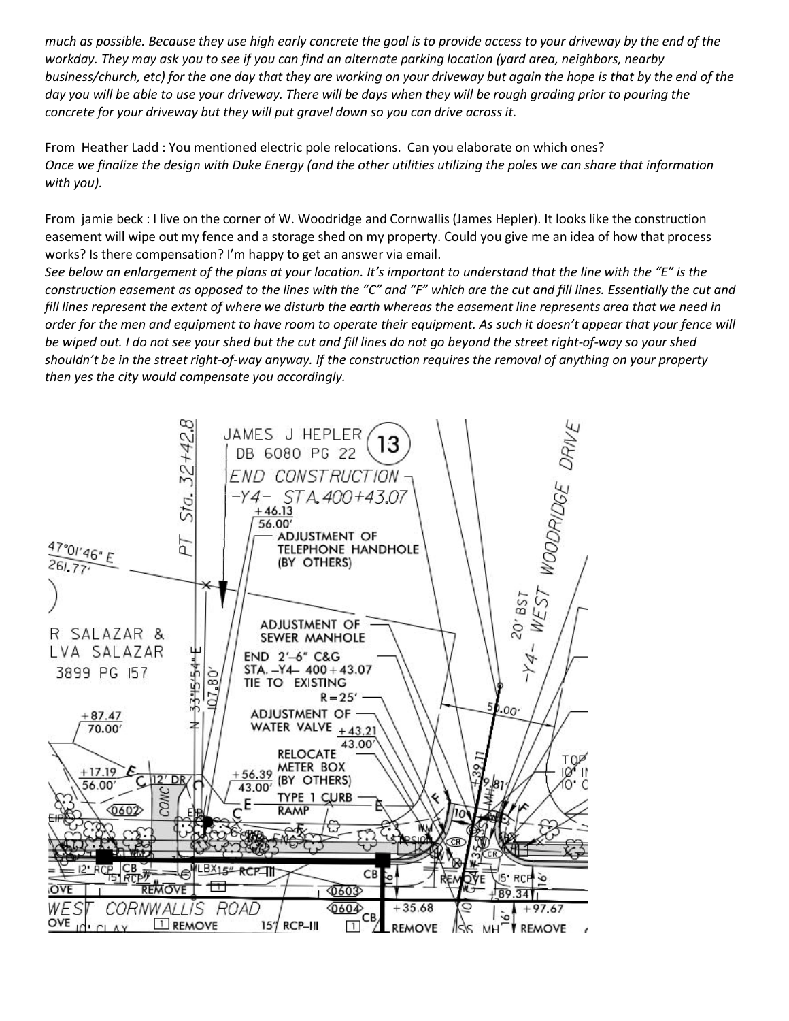*much as possible. Because they use high early concrete the goal is to provide access to your driveway by the end of the workday. They may ask you to see if you can find an alternate parking location (yard area, neighbors, nearby business/church, etc) for the one day that they are working on your driveway but again the hope is that by the end of the day you will be able to use your driveway. There will be days when they will be rough grading prior to pouring the concrete for your driveway but they will put gravel down so you can drive across it.*

From Heather Ladd : You mentioned electric pole relocations. Can you elaborate on which ones? *Once we finalize the design with Duke Energy (and the other utilities utilizing the poles we can share that information with you).*

From jamie beck : I live on the corner of W. Woodridge and Cornwallis (James Hepler). It looks like the construction easement will wipe out my fence and a storage shed on my property. Could you give me an idea of how that process works? Is there compensation? I'm happy to get an answer via email.

*See below an enlargement of the plans at your location. It's important to understand that the line with the "E" is the construction easement as opposed to the lines with the "C" and "F" which are the cut and fill lines. Essentially the cut and fill lines represent the extent of where we disturb the earth whereas the easement line represents area that we need in order for the men and equipment to have room to operate their equipment. As such it doesn't appear that your fence will be wiped out. I do not see your shed but the cut and fill lines do not go beyond the street right-of-way so your shed shouldn't be in the street right-of-way anyway. If the construction requires the removal of anything on your property then yes the city would compensate you accordingly.*

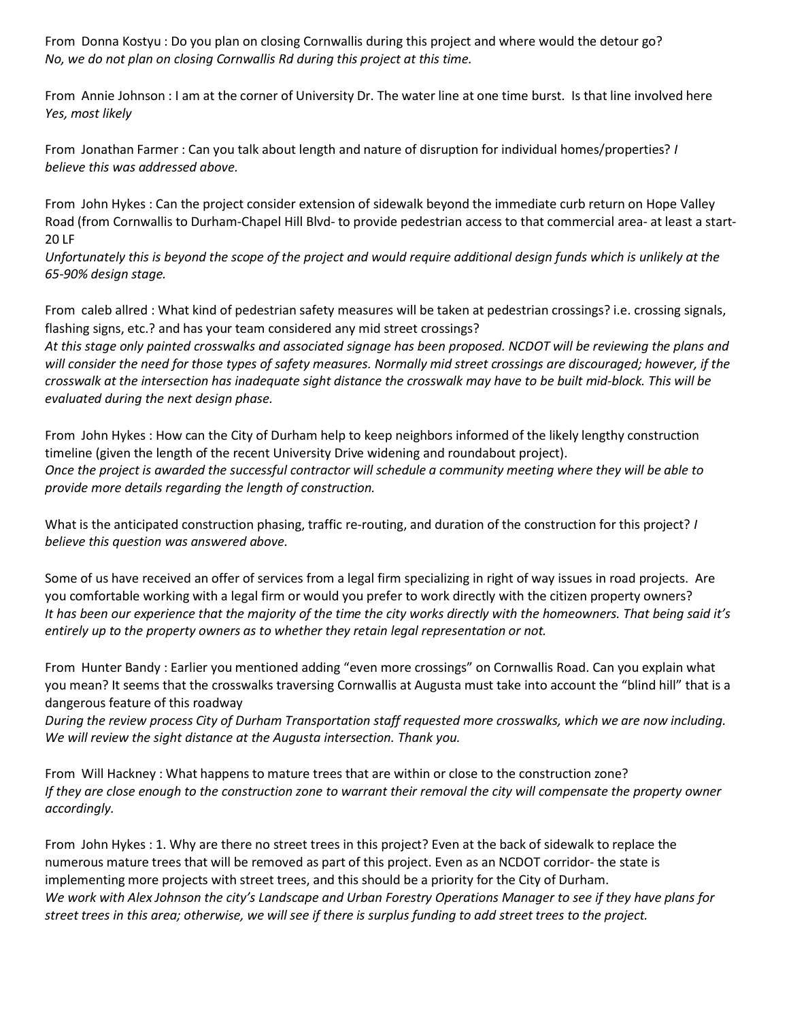From Donna Kostyu : Do you plan on closing Cornwallis during this project and where would the detour go? *No, we do not plan on closing Cornwallis Rd during this project at this time.*

From Annie Johnson : I am at the corner of University Dr. The water line at one time burst. Is that line involved here *Yes, most likely*

From Jonathan Farmer : Can you talk about length and nature of disruption for individual homes/properties? *I believe this was addressed above.*

From John Hykes : Can the project consider extension of sidewalk beyond the immediate curb return on Hope Valley Road (from Cornwallis to Durham-Chapel Hill Blvd- to provide pedestrian access to that commercial area- at least a start-20 LF

*Unfortunately this is beyond the scope of the project and would require additional design funds which is unlikely at the 65-90% design stage.*

From caleb allred : What kind of pedestrian safety measures will be taken at pedestrian crossings? i.e. crossing signals, flashing signs, etc.? and has your team considered any mid street crossings?

*At this stage only painted crosswalks and associated signage has been proposed. NCDOT will be reviewing the plans and will consider the need for those types of safety measures. Normally mid street crossings are discouraged; however, if the crosswalk at the intersection has inadequate sight distance the crosswalk may have to be built mid-block. This will be evaluated during the next design phase.*

From John Hykes : How can the City of Durham help to keep neighbors informed of the likely lengthy construction timeline (given the length of the recent University Drive widening and roundabout project). *Once the project is awarded the successful contractor will schedule a community meeting where they will be able to provide more details regarding the length of construction.*

What is the anticipated construction phasing, traffic re-routing, and duration of the construction for this project? *I believe this question was answered above.*

Some of us have received an offer of services from a legal firm specializing in right of way issues in road projects. Are you comfortable working with a legal firm or would you prefer to work directly with the citizen property owners? *It has been our experience that the majority of the time the city works directly with the homeowners. That being said it's entirely up to the property owners as to whether they retain legal representation or not.*

From Hunter Bandy : Earlier you mentioned adding "even more crossings" on Cornwallis Road. Can you explain what you mean? It seems that the crosswalks traversing Cornwallis at Augusta must take into account the "blind hill" that is a dangerous feature of this roadway

*During the review process City of Durham Transportation staff requested more crosswalks, which we are now including. We will review the sight distance at the Augusta intersection. Thank you.*

From Will Hackney : What happens to mature trees that are within or close to the construction zone? *If they are close enough to the construction zone to warrant their removal the city will compensate the property owner accordingly.*

From John Hykes : 1. Why are there no street trees in this project? Even at the back of sidewalk to replace the numerous mature trees that will be removed as part of this project. Even as an NCDOT corridor- the state is implementing more projects with street trees, and this should be a priority for the City of Durham. *We work with Alex Johnson the city's Landscape and Urban Forestry Operations Manager to see if they have plans for street trees in this area; otherwise, we will see if there is surplus funding to add street trees to the project.*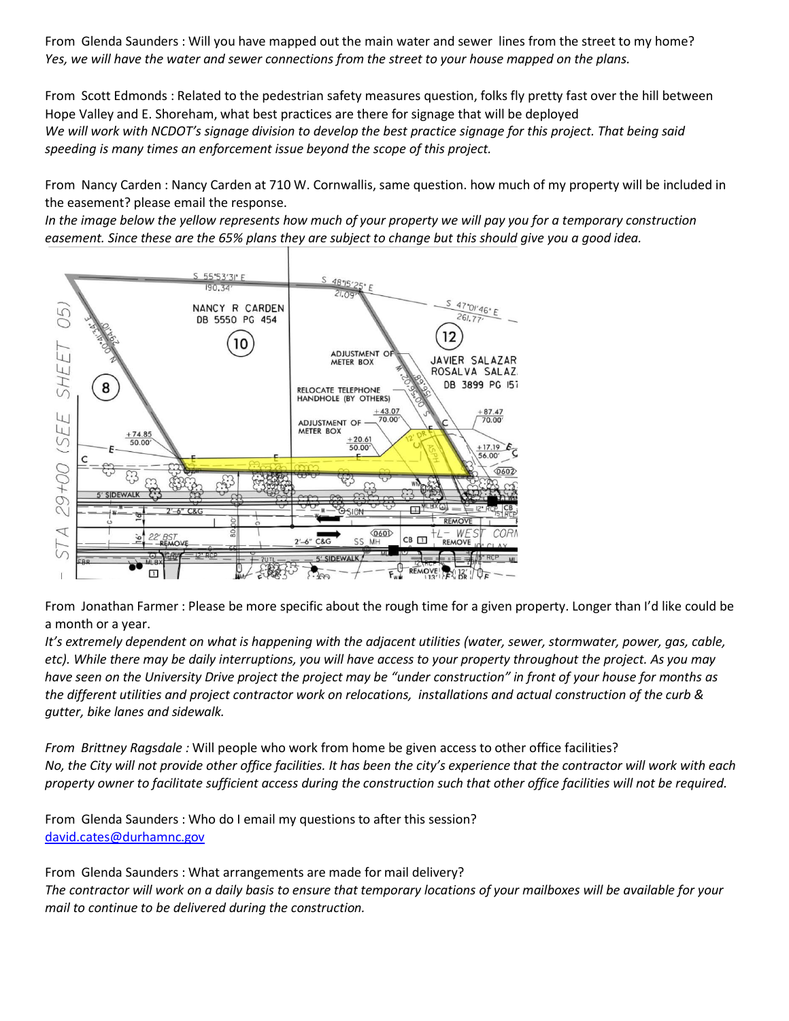From Glenda Saunders : Will you have mapped out the main water and sewer lines from the street to my home? *Yes, we will have the water and sewer connections from the street to your house mapped on the plans.*

From Scott Edmonds : Related to the pedestrian safety measures question, folks fly pretty fast over the hill between Hope Valley and E. Shoreham, what best practices are there for signage that will be deployed *We will work with NCDOT's signage division to develop the best practice signage for this project. That being said speeding is many times an enforcement issue beyond the scope of this project.*

From Nancy Carden : Nancy Carden at 710 W. Cornwallis, same question. how much of my property will be included in the easement? please email the response.

*In the image below the yellow represents how much of your property we will pay you for a temporary construction easement. Since these are the 65% plans they are subject to change but this should give you a good idea.*



From Jonathan Farmer : Please be more specific about the rough time for a given property. Longer than I'd like could be a month or a year.

*It's extremely dependent on what is happening with the adjacent utilities (water, sewer, stormwater, power, gas, cable, etc). While there may be daily interruptions, you will have access to your property throughout the project. As you may have seen on the University Drive project the project may be "under construction" in front of your house for months as the different utilities and project contractor work on relocations, installations and actual construction of the curb & gutter, bike lanes and sidewalk.*

*From Brittney Ragsdale :* Will people who work from home be given access to other office facilities? *No, the City will not provide other office facilities. It has been the city's experience that the contractor will work with each property owner to facilitate sufficient access during the construction such that other office facilities will not be required.*

From Glenda Saunders : Who do I email my questions to after this session? [david.cates@durhamnc.gov](mailto:david.cates@durhamnc.gov)

From Glenda Saunders : What arrangements are made for mail delivery? *The contractor will work on a daily basis to ensure that temporary locations of your mailboxes will be available for your mail to continue to be delivered during the construction.*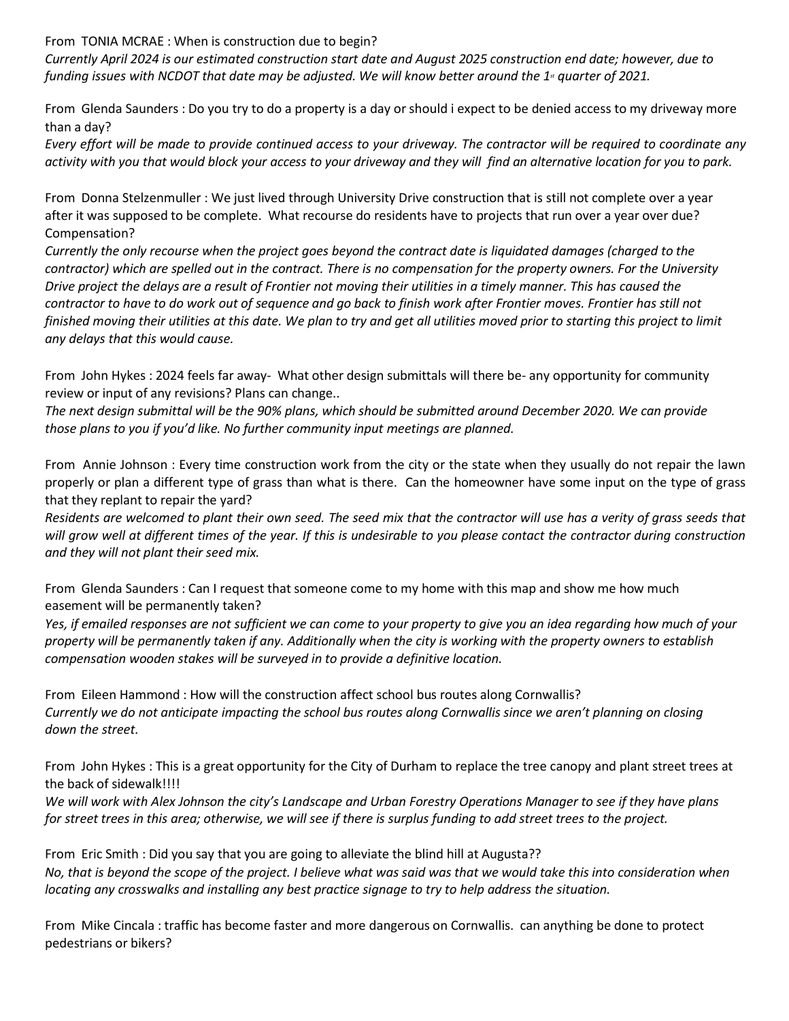From TONIA MCRAE : When is construction due to begin?

*Currently April 2024 is our estimated construction start date and August 2025 construction end date; however, due to funding issues with NCDOT that date may be adjusted. We will know better around the 1<sup>st</sup> quarter of 2021.* 

From Glenda Saunders : Do you try to do a property is a day or should i expect to be denied access to my driveway more than a day?

*Every effort will be made to provide continued access to your driveway. The contractor will be required to coordinate any activity with you that would block your access to your driveway and they will find an alternative location for you to park.*

From Donna Stelzenmuller : We just lived through University Drive construction that is still not complete over a year after it was supposed to be complete. What recourse do residents have to projects that run over a year over due? Compensation?

*Currently the only recourse when the project goes beyond the contract date is liquidated damages (charged to the contractor) which are spelled out in the contract. There is no compensation for the property owners. For the University Drive project the delays are a result of Frontier not moving their utilities in a timely manner. This has caused the contractor to have to do work out of sequence and go back to finish work after Frontier moves. Frontier has still not finished moving their utilities at this date. We plan to try and get all utilities moved prior to starting this project to limit any delays that this would cause.*

From John Hykes : 2024 feels far away- What other design submittals will there be- any opportunity for community review or input of any revisions? Plans can change..

*The next design submittal will be the 90% plans, which should be submitted around December 2020. We can provide those plans to you if you'd like. No further community input meetings are planned.*

From Annie Johnson : Every time construction work from the city or the state when they usually do not repair the lawn properly or plan a different type of grass than what is there. Can the homeowner have some input on the type of grass that they replant to repair the yard?

*Residents are welcomed to plant their own seed. The seed mix that the contractor will use has a verity of grass seeds that will grow well at different times of the year. If this is undesirable to you please contact the contractor during construction and they will not plant their seed mix.*

From Glenda Saunders : Can I request that someone come to my home with this map and show me how much easement will be permanently taken?

*Yes, if emailed responses are not sufficient we can come to your property to give you an idea regarding how much of your property will be permanently taken if any. Additionally when the city is working with the property owners to establish compensation wooden stakes will be surveyed in to provide a definitive location.*

From Eileen Hammond : How will the construction affect school bus routes along Cornwallis? *Currently we do not anticipate impacting the school bus routes along Cornwallis since we aren't planning on closing down the street.*

From John Hykes : This is a great opportunity for the City of Durham to replace the tree canopy and plant street trees at the back of sidewalk!!!!

*We will work with Alex Johnson the city's Landscape and Urban Forestry Operations Manager to see if they have plans for street trees in this area; otherwise, we will see if there is surplus funding to add street trees to the project.*

From Eric Smith : Did you say that you are going to alleviate the blind hill at Augusta?? *No, that is beyond the scope of the project. I believe what was said was that we would take this into consideration when locating any crosswalks and installing any best practice signage to try to help address the situation.*

From Mike Cincala : traffic has become faster and more dangerous on Cornwallis. can anything be done to protect pedestrians or bikers?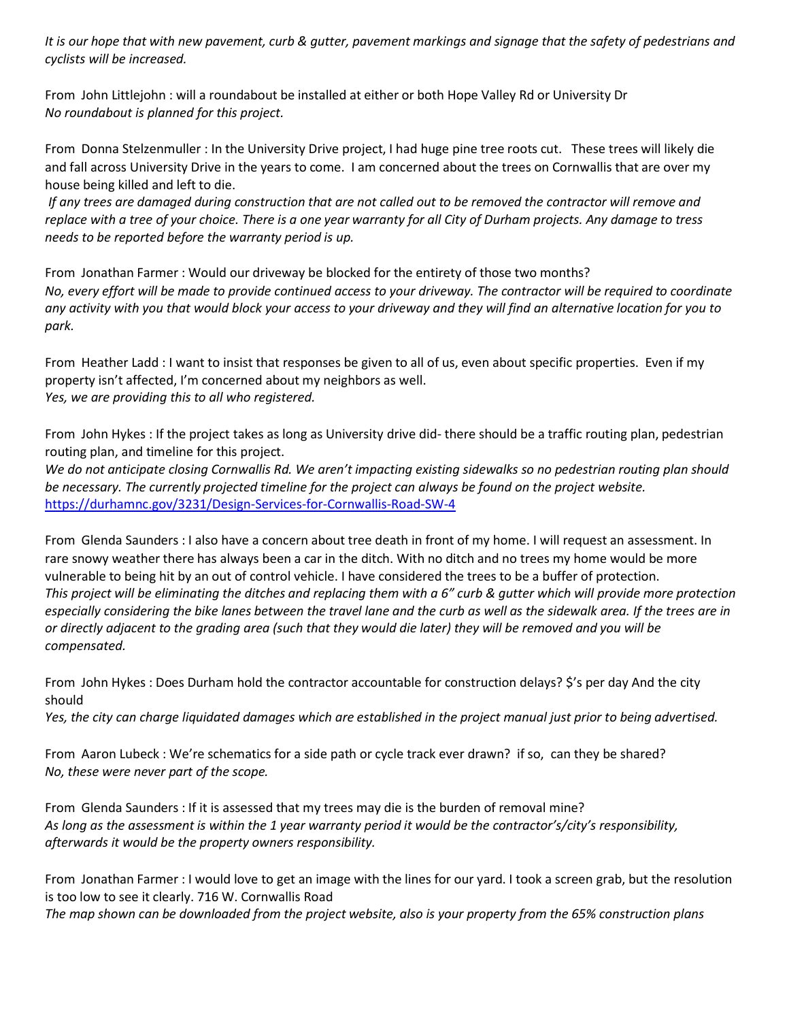*It is our hope that with new pavement, curb & gutter, pavement markings and signage that the safety of pedestrians and cyclists will be increased.*

From John Littlejohn : will a roundabout be installed at either or both Hope Valley Rd or University Dr *No roundabout is planned for this project.*

From Donna Stelzenmuller : In the University Drive project, I had huge pine tree roots cut. These trees will likely die and fall across University Drive in the years to come. I am concerned about the trees on Cornwallis that are over my house being killed and left to die.

*If any trees are damaged during construction that are not called out to be removed the contractor will remove and replace with a tree of your choice. There is a one year warranty for all City of Durham projects. Any damage to tress needs to be reported before the warranty period is up.*

From Jonathan Farmer : Would our driveway be blocked for the entirety of those two months? *No, every effort will be made to provide continued access to your driveway. The contractor will be required to coordinate any activity with you that would block your access to your driveway and they will find an alternative location for you to park.*

From Heather Ladd : I want to insist that responses be given to all of us, even about specific properties. Even if my property isn't affected, I'm concerned about my neighbors as well. *Yes, we are providing this to all who registered.*

From John Hykes : If the project takes as long as University drive did- there should be a traffic routing plan, pedestrian routing plan, and timeline for this project.

*We do not anticipate closing Cornwallis Rd. We aren't impacting existing sidewalks so no pedestrian routing plan should be necessary. The currently projected timeline for the project can always be found on the project website.* <https://durhamnc.gov/3231/Design-Services-for-Cornwallis-Road-SW-4>

From Glenda Saunders : I also have a concern about tree death in front of my home. I will request an assessment. In rare snowy weather there has always been a car in the ditch. With no ditch and no trees my home would be more vulnerable to being hit by an out of control vehicle. I have considered the trees to be a buffer of protection. *This project will be eliminating the ditches and replacing them with a 6" curb & gutter which will provide more protection especially considering the bike lanes between the travel lane and the curb as well as the sidewalk area. If the trees are in or directly adjacent to the grading area (such that they would die later) they will be removed and you will be compensated.*

From John Hykes : Does Durham hold the contractor accountable for construction delays? \$'s per day And the city should

*Yes, the city can charge liquidated damages which are established in the project manual just prior to being advertised.*

From Aaron Lubeck : We're schematics for a side path or cycle track ever drawn? if so, can they be shared? *No, these were never part of the scope.*

From Glenda Saunders : If it is assessed that my trees may die is the burden of removal mine? *As long as the assessment is within the 1 year warranty period it would be the contractor's/city's responsibility, afterwards it would be the property owners responsibility.*

From Jonathan Farmer : I would love to get an image with the lines for our yard. I took a screen grab, but the resolution is too low to see it clearly. 716 W. Cornwallis Road

*The map shown can be downloaded from the project website, also is your property from the 65% construction plans*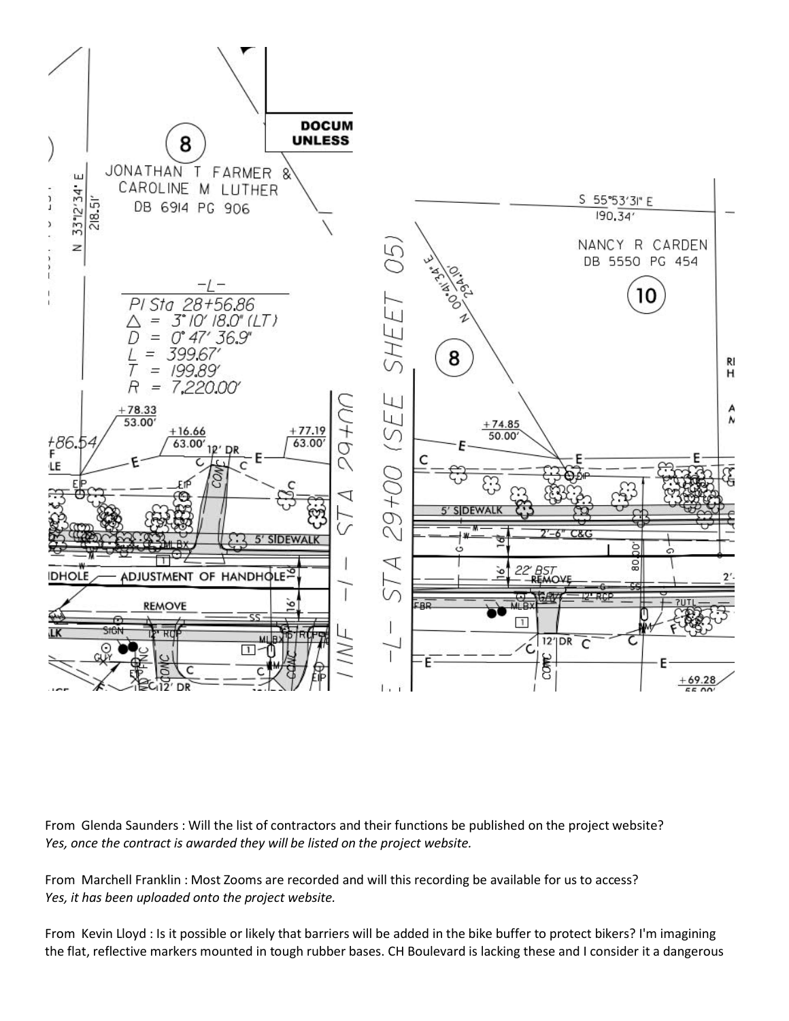

From Glenda Saunders : Will the list of contractors and their functions be published on the project website? *Yes, once the contract is awarded they will be listed on the project website.*

From Marchell Franklin : Most Zooms are recorded and will this recording be available for us to access? *Yes, it has been uploaded onto the project website.*

From Kevin Lloyd : Is it possible or likely that barriers will be added in the bike buffer to protect bikers? I'm imagining the flat, reflective markers mounted in tough rubber bases. CH Boulevard is lacking these and I consider it a dangerous